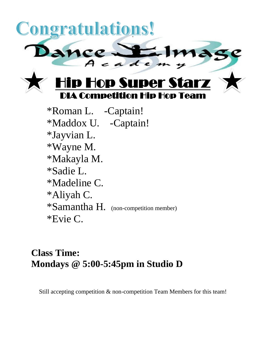

\*Roman L. -Captain! \*Maddox U. -Captain! \*Jayvian L. \*Wayne M. \*Makayla M. \*Sadie L. \*Madeline C. \*Aliyah C. \*Samantha H. (non-competition member) \*Evie C.

## **Class Time: Mondays @ 5:00-5:45pm in Studio D**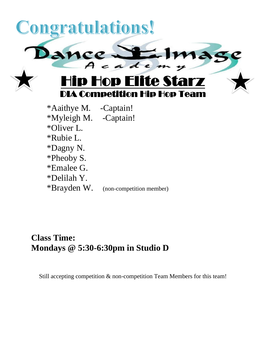

\*Oliver L. \*Rubie L. \*Dagny N. \*Pheoby S. \*Emalee G. \*Delilah Y. \*Brayden W. (non-competition member)

### **Class Time: Mondays @ 5:30-6:30pm in Studio D**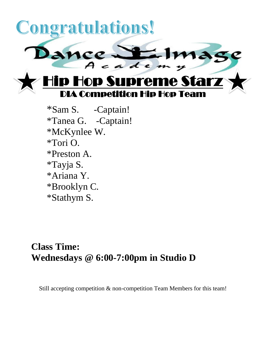

\*Sam S. -Captain! \*Tanea G. -Captain! \*McKynlee W. \*Tori O. \*Preston A. \*Tayja S. \*Ariana Y. \*Brooklyn C. \*Stathym S.

## **Class Time: Wednesdays @ 6:00-7:00pm in Studio D**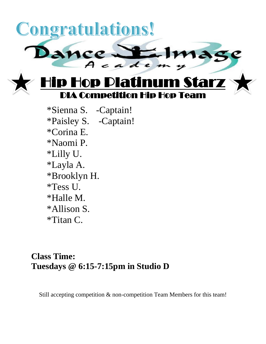

\*Sienna S. -Captain! \*Paisley S. -Captain! \*Corina E. \*Naomi P. \*Lilly U. \*Layla A. \*Brooklyn H. \*Tess U. \*Halle M. \*Allison S. \*Titan C.

#### **Class Time: Tuesdays @ 6:15-7:15pm in Studio D**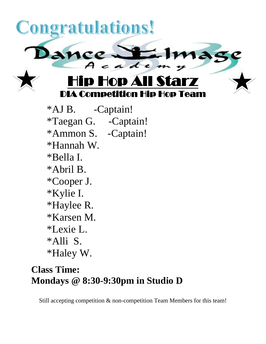

\*Alli S.

\*Haley W.

# **Class Time: Mondays @ 8:30-9:30pm in Studio D**